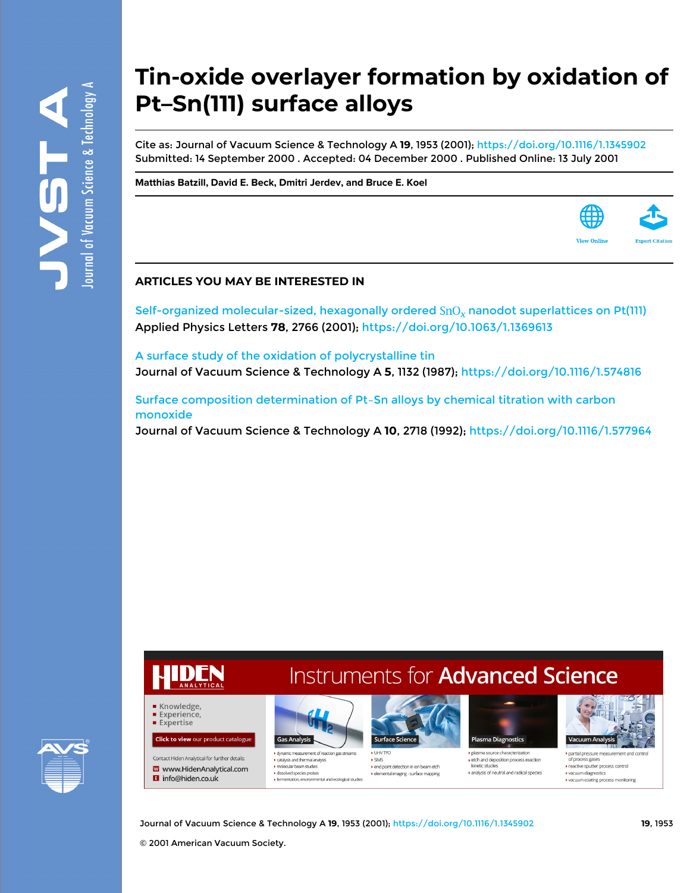# **Tin-oxide overlayer formation by oxidation of Pt–Sn(111) surface alloys**

Cite as: Journal of Vacuum Science & Technology A **19**, 1953 (2001); <https://doi.org/10.1116/1.1345902> Submitted: 14 September 2000 . Accepted: 04 December 2000 . Published Online: 13 July 2001

**[Matthias Batzill,](https://avs.scitation.org/author/Batzill%2C+Matthias) [David E. Beck](https://avs.scitation.org/author/Beck%2C+David+E), [Dmitri Jerdev,](https://avs.scitation.org/author/Jerdev%2C+Dmitri) and [Bruce E. Koel](https://avs.scitation.org/author/Koel%2C+Bruce+E)**



## **ARTICLES YOU MAY BE INTERESTED IN**

Self-organized molecular-sized, hexagonally ordered  $SnO<sub>x</sub>$  nanodot superlattices on Pt(111) Applied Physics Letters **78**, 2766 (2001);<https://doi.org/10.1063/1.1369613>

[A surface study of the oxidation of polycrystalline tin](https://avs.scitation.org/doi/10.1116/1.574816) Journal of Vacuum Science & Technology A **5**, 1132 (1987);<https://doi.org/10.1116/1.574816>

[Surface composition determination of Pt–Sn alloys by chemical titration with carbon](https://avs.scitation.org/doi/10.1116/1.577964) [monoxide](https://avs.scitation.org/doi/10.1116/1.577964)

Journal of Vacuum Science & Technology A **10**, 2718 (1992); <https://doi.org/10.1116/1.577964>



# **Instruments for Advanced Science**



dynamic measurement of reaction gas strea  $\blacktriangleright$  catalysis and thermal analysis molecular beam studies dissolved species probe ▶ fermentation, environmental and ecological studies



 $\blacktriangleright$  SIMS ▶ end point detection in ion beam etch tal imaging - surface mapping



 $\blacktriangleright$  etch and deposition process reaction kinetic studies analysis of neutral and radical species



partial pressure measurement and contr of process gases reactive sputter process control vacuum diagnost vacuum coating process monitoring

Journal of Vacuum Science & Technology A **19**, 1953 (2001); <https://doi.org/10.1116/1.1345902> **19**, 1953

© 2001 American Vacuum Society.

Knowledge. Experience, **Expertise** 

**Click to view our product catalogue** 

Contact Hiden Analytical for further details:

W www.HidenAnalytical.com

**El** info@hiden.co.uk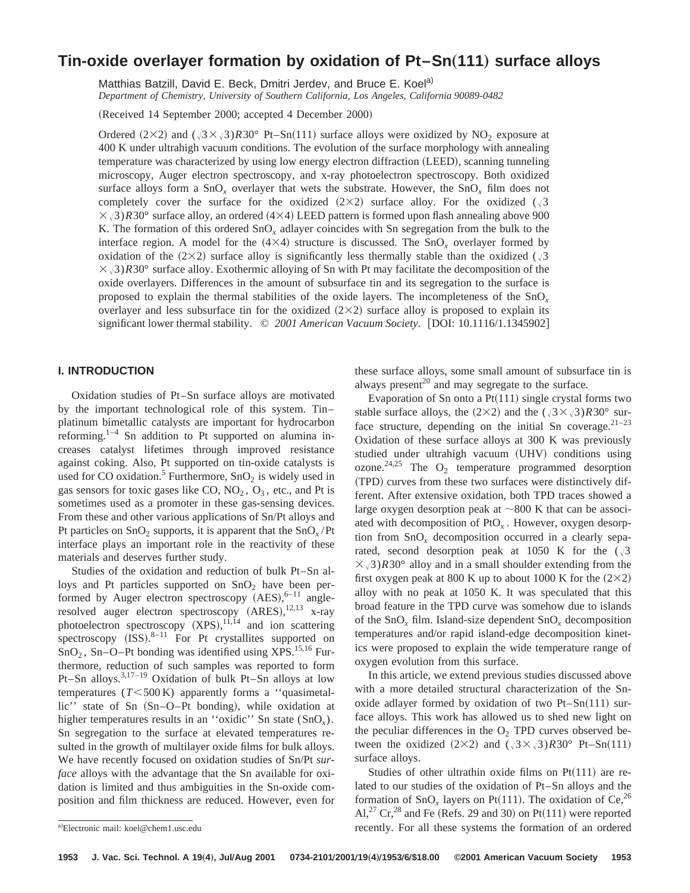# **Tin-oxide overlayer formation by oxidation of Pt–Sn**"**111**… **surface alloys**

Matthias Batzill, David E. Beck, Dmitri Jerdev, and Bruce E. Koel<sup>a)</sup> *Department of Chemistry, University of Southern California, Los Angeles, California 90089-0482*

(Received 14 September 2000; accepted 4 December 2000)

Ordered  $(2\times2)$  and  $(\sqrt{3}\times\sqrt{3})R30^\circ$  Pt–Sn $(111)$  surface alloys were oxidized by NO<sub>2</sub> exposure at 400 K under ultrahigh vacuum conditions. The evolution of the surface morphology with annealing temperature was characterized by using low energy electron diffraction (LEED), scanning tunneling microscopy, Auger electron spectroscopy, and x-ray photoelectron spectroscopy. Both oxidized surface alloys form a SnO*<sup>x</sup>* overlayer that wets the substrate. However, the SnO*<sup>x</sup>* film does not completely cover the surface for the oxidized  $(2\times2)$  surface alloy. For the oxidized  $\sqrt{3}$  $\times$  3)*R*30° surface alloy, an ordered (4 $\times$ 4) LEED pattern is formed upon flash annealing above 900 K. The formation of this ordered SnO*<sup>x</sup>* adlayer coincides with Sn segregation from the bulk to the interface region. A model for the  $(4\times4)$  structure is discussed. The SnO<sub>x</sub> overlayer formed by oxidation of the  $(2\times2)$  surface alloy is significantly less thermally stable than the oxidized ( $\sqrt{3}$ )  $\times$  3)*R*30° surface alloy. Exothermic alloying of Sn with Pt may facilitate the decomposition of the oxide overlayers. Differences in the amount of subsurface tin and its segregation to the surface is proposed to explain the thermal stabilities of the oxide layers. The incompleteness of the SnO*<sup>x</sup>* overlayer and less subsurface tin for the oxidized  $(2\times2)$  surface alloy is proposed to explain its significant lower thermal stability.  $\degree$  2001 American Vacuum Society. [DOI: 10.1116/1.1345902]

### **I. INTRODUCTION**

Oxidation studies of Pt–Sn surface alloys are motivated by the important technological role of this system. Tin– platinum bimetallic catalysts are important for hydrocarbon reforming.<sup>1–4</sup> Sn addition to Pt supported on alumina increases catalyst lifetimes through improved resistance against coking. Also, Pt supported on tin-oxide catalysts is used for CO oxidation.<sup>5</sup> Furthermore,  $SnO<sub>2</sub>$  is widely used in gas sensors for toxic gases like  $CO$ ,  $NO<sub>2</sub>$ ,  $O<sub>3</sub>$ , etc., and Pt is sometimes used as a promoter in these gas-sensing devices. From these and other various applications of Sn/Pt alloys and Pt particles on  $SnO<sub>2</sub>$  supports, it is apparent that the  $SnO<sub>x</sub>/Pt$ interface plays an important role in the reactivity of these materials and deserves further study.

Studies of the oxidation and reduction of bulk Pt–Sn alloys and Pt particles supported on  $SnO<sub>2</sub>$  have been performed by Auger electron spectroscopy  $(AES),<sup>6-11</sup>$  angleresolved auger electron spectroscopy  $(ARES)$ ,  $^{12,13}$  x-ray photoelectron spectroscopy  $(XPS)$ ,  $^{11,14}$  and ion scattering spectroscopy  $(ISS).^{8-11}$  For Pt crystallites supported on SnO<sub>2</sub>, Sn-O-Pt bonding was identified using XPS.<sup>15,16</sup> Furthermore, reduction of such samples was reported to form Pt–Sn alloys.3,17–19 Oxidation of bulk Pt–Sn alloys at low temperatures  $(T<500 \text{ K})$  apparently forms a "quasimetallic" state of Sn (Sn–O–Pt bonding), while oxidation at higher temperatures results in an "oxidic" Sn state (SnO<sub>x</sub>). Sn segregation to the surface at elevated temperatures resulted in the growth of multilayer oxide films for bulk alloys. We have recently focused on oxidation studies of Sn/Pt *surface* alloys with the advantage that the Sn available for oxidation is limited and thus ambiguities in the Sn-oxide composition and film thickness are reduced. However, even for these surface alloys, some small amount of subsurface tin is always present<sup>20</sup> and may segregate to the surface.

Evaporation of Sn onto a  $Pt(111)$  single crystal forms two stable surface alloys, the ( $2\times2$ ) and the ( $\sqrt{3}\times\sqrt{3}$ )*R*30° surface structure, depending on the initial Sn coverage. $2^{1-23}$ Oxidation of these surface alloys at 300 K was previously studied under ultrahigh vacuum (UHV) conditions using ozone.<sup>24,25</sup> The  $O_2$  temperature programmed desorption (TPD) curves from these two surfaces were distinctively different. After extensive oxidation, both TPD traces showed a large oxygen desorption peak at  $\sim 800$  K that can be associated with decomposition of PtO*<sup>x</sup>* . However, oxygen desorption from SnO*<sup>x</sup>* decomposition occurred in a clearly separated, second desorption peak at 1050 K for the  $(\sqrt{3})$  $\times$  (3)*R*30° alloy and in a small shoulder extending from the first oxygen peak at 800 K up to about 1000 K for the  $(2\times2)$ alloy with no peak at 1050 K. It was speculated that this broad feature in the TPD curve was somehow due to islands of the SnO*<sup>x</sup>* film. Island-size dependent SnO*<sup>x</sup>* decomposition temperatures and/or rapid island-edge decomposition kinetics were proposed to explain the wide temperature range of oxygen evolution from this surface.

In this article, we extend previous studies discussed above with a more detailed structural characterization of the Snoxide adlayer formed by oxidation of two  $Pt-Sn(111)$  surface alloys. This work has allowed us to shed new light on the peculiar differences in the  $O<sub>2</sub>$  TPD curves observed between the oxidized  $(2\times2)$  and  $(\sqrt{3}\times\sqrt{3})R30^\circ$  Pt–Sn(111) surface alloys.

Studies of other ultrathin oxide films on  $Pt(111)$  are related to our studies of the oxidation of Pt–Sn alloys and the formation of  $SnO<sub>x</sub>$  layers on Pt(111). The oxidation of Ce,<sup>26</sup> Al,<sup>27</sup> Cr,<sup>28</sup> and Fe (Refs. 29 and 30) on Pt(111) were reported recently. For all these systems the formation of an ordered

Electronic mail: koel@chem1.usc.edu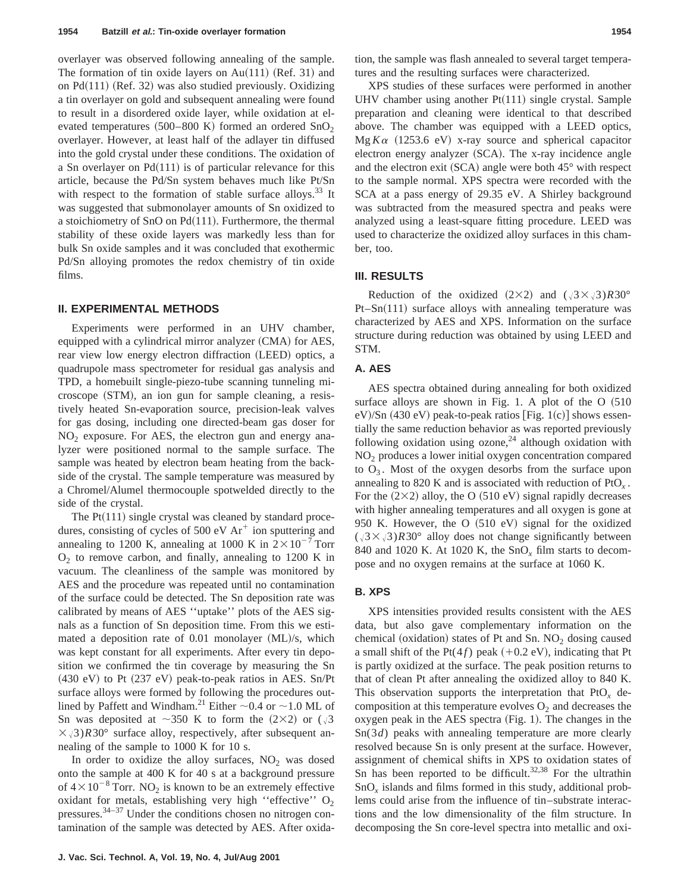overlayer was observed following annealing of the sample. The formation of tin oxide layers on  $Au(111)$  (Ref. 31) and on  $Pd(111)$  (Ref. 32) was also studied previously. Oxidizing a tin overlayer on gold and subsequent annealing were found to result in a disordered oxide layer, while oxidation at elevated temperatures  $(500-800 \text{ K})$  formed an ordered  $SnO<sub>2</sub>$ overlayer. However, at least half of the adlayer tin diffused into the gold crystal under these conditions. The oxidation of a Sn overlayer on  $Pd(111)$  is of particular relevance for this article, because the Pd/Sn system behaves much like Pt/Sn with respect to the formation of stable surface alloys.<sup>33</sup> It was suggested that submonolayer amounts of Sn oxidized to a stoichiometry of SnO on  $Pd(111)$ . Furthermore, the thermal stability of these oxide layers was markedly less than for bulk Sn oxide samples and it was concluded that exothermic Pd/Sn alloying promotes the redox chemistry of tin oxide films.

#### **II. EXPERIMENTAL METHODS**

Experiments were performed in an UHV chamber, equipped with a cylindrical mirror analyzer (CMA) for AES, rear view low energy electron diffraction (LEED) optics, a quadrupole mass spectrometer for residual gas analysis and TPD, a homebuilt single-piezo-tube scanning tunneling microscope (STM), an ion gun for sample cleaning, a resistively heated Sn-evaporation source, precision-leak valves for gas dosing, including one directed-beam gas doser for  $NO<sub>2</sub>$  exposure. For AES, the electron gun and energy analyzer were positioned normal to the sample surface. The sample was heated by electron beam heating from the backside of the crystal. The sample temperature was measured by a Chromel/Alumel thermocouple spotwelded directly to the side of the crystal.

The  $Pt(111)$  single crystal was cleaned by standard procedures, consisting of cycles of  $500 \text{ eV}$  Ar<sup>+</sup> ion sputtering and annealing to 1200 K, annealing at 1000 K in  $2 \times 10^{-7}$  Torr  $O<sub>2</sub>$  to remove carbon, and finally, annealing to 1200 K in vacuum. The cleanliness of the sample was monitored by AES and the procedure was repeated until no contamination of the surface could be detected. The Sn deposition rate was calibrated by means of AES ''uptake'' plots of the AES signals as a function of Sn deposition time. From this we estimated a deposition rate of  $0.01$  monolayer  $(ML)/s$ , which was kept constant for all experiments. After every tin deposition we confirmed the tin coverage by measuring the Sn  $(430 \text{ eV})$  to Pt  $(237 \text{ eV})$  peak-to-peak ratios in AES. Sn/Pt surface alloys were formed by following the procedures outlined by Paffett and Windham.<sup>21</sup> Either  $\sim$  0.4 or  $\sim$  1.0 ML of Sn was deposited at  $\sim$ 350 K to form the (2×2) or ( $\sqrt{3}$  $\times$  (3)*R*30° surface alloy, respectively, after subsequent annealing of the sample to 1000 K for 10 s.

In order to oxidize the alloy surfaces,  $NO<sub>2</sub>$  was dosed onto the sample at 400 K for 40 s at a background pressure of  $4 \times 10^{-8}$  Torr. NO<sub>2</sub> is known to be an extremely effective oxidant for metals, establishing very high "effective"  $O_2$ pressures.34–37 Under the conditions chosen no nitrogen contamination of the sample was detected by AES. After oxidation, the sample was flash annealed to several target temperatures and the resulting surfaces were characterized.

XPS studies of these surfaces were performed in another UHV chamber using another  $Pt(111)$  single crystal. Sample preparation and cleaning were identical to that described above. The chamber was equipped with a LEED optics,  $Mg K\alpha$  (1253.6 eV) x-ray source and spherical capacitor electron energy analyzer  $(SCA)$ . The x-ray incidence angle and the electron exit  $(SCA)$  angle were both  $45^{\circ}$  with respect to the sample normal. XPS spectra were recorded with the SCA at a pass energy of 29.35 eV. A Shirley background was subtracted from the measured spectra and peaks were analyzed using a least-square fitting procedure. LEED was used to characterize the oxidized alloy surfaces in this chamber, too.

#### **III. RESULTS**

Reduction of the oxidized  $(2\times2)$  and  $(\sqrt{3}\times\sqrt{3})R30^\circ$  $Pt-Sn(111)$  surface alloys with annealing temperature was characterized by AES and XPS. Information on the surface structure during reduction was obtained by using LEED and STM.

### **A. AES**

AES spectra obtained during annealing for both oxidized surface alloys are shown in Fig. 1. A plot of the  $O$   $(510$ eV)/Sn  $(430$  eV) peak-to-peak ratios [Fig. 1(c)] shows essentially the same reduction behavior as was reported previously following oxidation using ozone,<sup>24</sup> although oxidation with  $NO<sub>2</sub>$  produces a lower initial oxygen concentration compared to  $O_3$ . Most of the oxygen desorbs from the surface upon annealing to 820 K and is associated with reduction of PtO*<sup>x</sup>* . For the  $(2\times2)$  alloy, the O (510 eV) signal rapidly decreases with higher annealing temperatures and all oxygen is gone at 950 K. However, the  $O$  (510 eV) signal for the oxidized  $(\sqrt{3} \times \sqrt{3})R30^\circ$  alloy does not change significantly between 840 and 1020 K. At 1020 K, the SnO*<sup>x</sup>* film starts to decompose and no oxygen remains at the surface at 1060 K.

#### **B. XPS**

XPS intensities provided results consistent with the AES data, but also gave complementary information on the chemical (oxidation) states of Pt and Sn.  $NO<sub>2</sub>$  dosing caused a small shift of the Pt( $4f$ ) peak  $(+0.2 \text{ eV})$ , indicating that Pt is partly oxidized at the surface. The peak position returns to that of clean Pt after annealing the oxidized alloy to 840 K. This observation supports the interpretation that PtO*<sup>x</sup>* decomposition at this temperature evolves  $O_2$  and decreases the oxygen peak in the AES spectra  $(Fig. 1)$ . The changes in the Sn(3*d*) peaks with annealing temperature are more clearly resolved because Sn is only present at the surface. However, assignment of chemical shifts in XPS to oxidation states of Sn has been reported to be difficult.<sup>32,38</sup> For the ultrathin SnO*<sup>x</sup>* islands and films formed in this study, additional problems could arise from the influence of tin–substrate interactions and the low dimensionality of the film structure. In decomposing the Sn core-level spectra into metallic and oxi-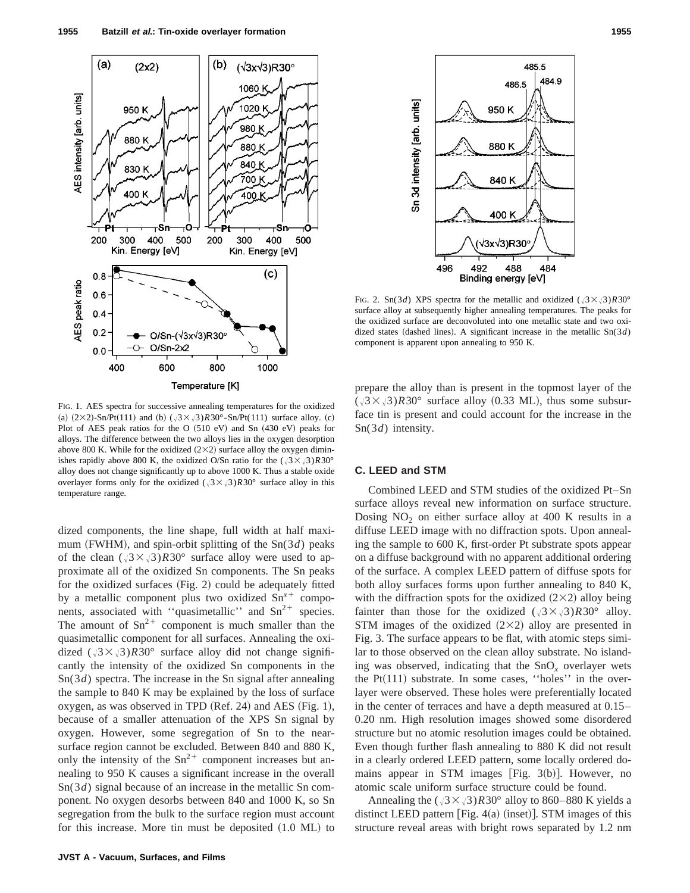

FIG. 1. AES spectra for successive annealing temperatures for the oxidized (a)  $(2 \times 2)$ -Sn/Pt(111) and (b)  $(\sqrt{3} \times \sqrt{3})R30^\circ$ -Sn/Pt(111) surface alloy. (c) Plot of AES peak ratios for the O  $(510 \text{ eV})$  and Sn  $(430 \text{ eV})$  peaks for alloys. The difference between the two alloys lies in the oxygen desorption above 800 K. While for the oxidized  $(2\times2)$  surface alloy the oxygen diminishes rapidly above 800 K, the oxidized O/Sn ratio for the  $(\sqrt{3} \times \sqrt{3})R30^\circ$ alloy does not change significantly up to above 1000 K. Thus a stable oxide overlayer forms only for the oxidized  $(\sqrt{3} \times \sqrt{3})R30^\circ$  surface alloy in this temperature range.

dized components, the line shape, full width at half maximum (FWHM), and spin-orbit splitting of the  $Sn(3d)$  peaks of the clean  $(\sqrt{3} \times \sqrt{3})R30^\circ$  surface alloy were used to approximate all of the oxidized Sn components. The Sn peaks for the oxidized surfaces  $(Fig. 2)$  could be adequately fitted by a metallic component plus two oxidized  $Sn^{x+}$  components, associated with "quasimetallic" and  $Sn^{2+}$  species. The amount of  $Sn^{2+}$  component is much smaller than the quasimetallic component for all surfaces. Annealing the oxidized  $(\sqrt{3} \times \sqrt{3})R30^\circ$  surface alloy did not change significantly the intensity of the oxidized Sn components in the Sn(3*d*) spectra. The increase in the Sn signal after annealing the sample to 840 K may be explained by the loss of surface oxygen, as was observed in TPD  $(Ref. 24)$  and AES  $(Fig. 1)$ , because of a smaller attenuation of the XPS Sn signal by oxygen. However, some segregation of Sn to the nearsurface region cannot be excluded. Between 840 and 880 K, only the intensity of the  $Sn^{2+}$  component increases but annealing to 950 K causes a significant increase in the overall Sn(3*d*) signal because of an increase in the metallic Sn component. No oxygen desorbs between 840 and 1000 K, so Sn segregation from the bulk to the surface region must account for this increase. More tin must be deposited  $(1.0 \text{ ML})$  to



FIG. 2. Sn(3*d*) XPS spectra for the metallic and oxidized  $(\sqrt{3} \times \sqrt{3})R30^\circ$ surface alloy at subsequently higher annealing temperatures. The peaks for the oxidized surface are deconvoluted into one metallic state and two oxidized states (dashed lines). A significant increase in the metallic  $\text{Sn}(3d)$ component is apparent upon annealing to 950 K.

prepare the alloy than is present in the topmost layer of the  $(\sqrt{3} \times \sqrt{3})$ *R*30° surface alloy (0.33 ML), thus some subsurface tin is present and could account for the increase in the Sn(3*d*) intensity.

#### **C. LEED and STM**

Combined LEED and STM studies of the oxidized Pt–Sn surface alloys reveal new information on surface structure. Dosing  $NO<sub>2</sub>$  on either surface alloy at 400 K results in a diffuse LEED image with no diffraction spots. Upon annealing the sample to 600 K, first-order Pt substrate spots appear on a diffuse background with no apparent additional ordering of the surface. A complex LEED pattern of diffuse spots for both alloy surfaces forms upon further annealing to 840 K, with the diffraction spots for the oxidized  $(2\times2)$  alloy being fainter than those for the oxidized  $(\sqrt{3} \times \sqrt{3})R30^\circ$  alloy. STM images of the oxidized  $(2\times2)$  alloy are presented in Fig. 3. The surface appears to be flat, with atomic steps similar to those observed on the clean alloy substrate. No islanding was observed, indicating that the SnO*<sup>x</sup>* overlayer wets the Pt $(111)$  substrate. In some cases, "holes" in the overlayer were observed. These holes were preferentially located in the center of terraces and have a depth measured at 0.15– 0.20 nm. High resolution images showed some disordered structure but no atomic resolution images could be obtained. Even though further flash annealing to 880 K did not result in a clearly ordered LEED pattern, some locally ordered domains appear in STM images [Fig.  $3(b)$ ]. However, no atomic scale uniform surface structure could be found.

Annealing the  $(\sqrt{3} \times \sqrt{3})R30^\circ$  alloy to 860–880 K yields a distinct LEED pattern  $[Fig. 4(a)$  (inset). STM images of this structure reveal areas with bright rows separated by 1.2 nm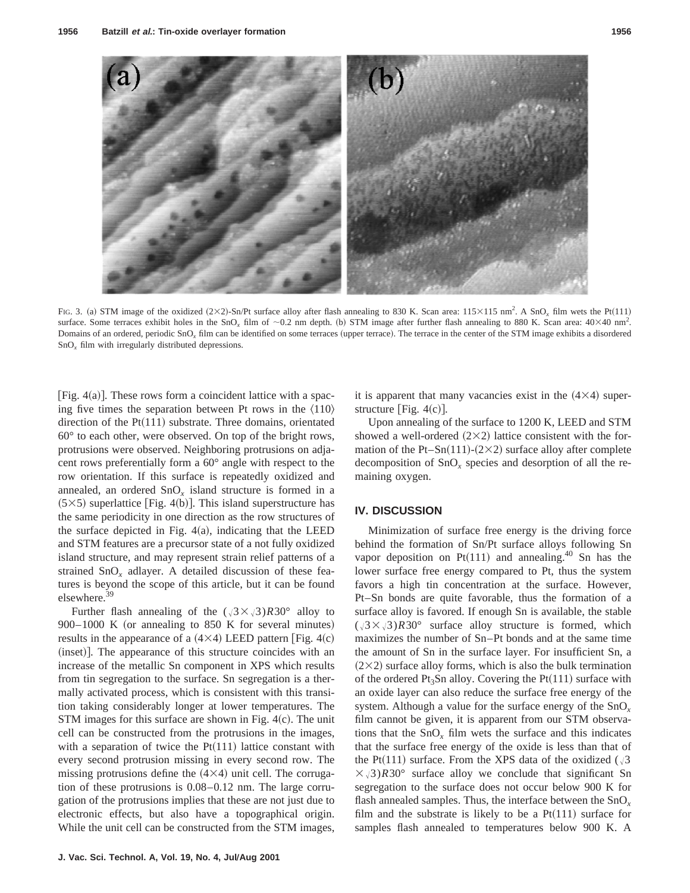

FIG. 3. (a) STM image of the oxidized  $(2\times2)$ -Sn/Pt surface alloy after flash annealing to 830 K. Scan area:  $115\times115$  nm<sup>2</sup>. A SnO<sub>x</sub> film wets the Pt(111) surface. Some terraces exhibit holes in the SnO<sub>x</sub> film of  $\sim 0.2$  nm depth. (b) STM image after further flash annealing to 880 K. Scan area:  $40\times40$  nm<sup>2</sup>. Domains of an ordered, periodic SnO<sub>x</sub> film can be identified on some terraces (upper terrace). The terrace in the center of the STM image exhibits a disordered SnO*<sup>x</sup>* film with irregularly distributed depressions.

[Fig.  $4(a)$ ]. These rows form a coincident lattice with a spacing five times the separation between Pt rows in the  $\langle 110 \rangle$ direction of the  $Pt(111)$  substrate. Three domains, orientated 60° to each other, were observed. On top of the bright rows, protrusions were observed. Neighboring protrusions on adjacent rows preferentially form a 60° angle with respect to the row orientation. If this surface is repeatedly oxidized and annealed, an ordered  $SnO<sub>x</sub>$  island structure is formed in a  $(5\times5)$  superlattice [Fig. 4(b)]. This island superstructure has the same periodicity in one direction as the row structures of the surface depicted in Fig.  $4(a)$ , indicating that the LEED and STM features are a precursor state of a not fully oxidized island structure, and may represent strain relief patterns of a strained SnO*<sup>x</sup>* adlayer. A detailed discussion of these features is beyond the scope of this article, but it can be found elsewhere.39

Further flash annealing of the  $(\sqrt{3} \times \sqrt{3})R30^\circ$  alloy to  $900-1000$  K (or annealing to 850 K for several minutes) results in the appearance of a  $(4\times4)$  LEED pattern [Fig. 4(c) (inset). The appearance of this structure coincides with an increase of the metallic Sn component in XPS which results from tin segregation to the surface. Sn segregation is a thermally activated process, which is consistent with this transition taking considerably longer at lower temperatures. The STM images for this surface are shown in Fig.  $4(c)$ . The unit cell can be constructed from the protrusions in the images, with a separation of twice the  $Pt(111)$  lattice constant with every second protrusion missing in every second row. The missing protrusions define the  $(4\times4)$  unit cell. The corrugation of these protrusions is 0.08–0.12 nm. The large corrugation of the protrusions implies that these are not just due to electronic effects, but also have a topographical origin. While the unit cell can be constructed from the STM images, it is apparent that many vacancies exist in the  $(4\times4)$  superstructure [Fig.  $4(c)$ ].

Upon annealing of the surface to 1200 K, LEED and STM showed a well-ordered  $(2\times2)$  lattice consistent with the formation of the Pt–Sn(111)-(2×2) surface alloy after complete decomposition of SnO*<sup>x</sup>* species and desorption of all the remaining oxygen.

#### **IV. DISCUSSION**

Minimization of surface free energy is the driving force behind the formation of Sn/Pt surface alloys following Sn vapor deposition on Pt $(111)$  and annealing.<sup>40</sup> Sn has the lower surface free energy compared to Pt, thus the system favors a high tin concentration at the surface. However, Pt–Sn bonds are quite favorable, thus the formation of a surface alloy is favored. If enough Sn is available, the stable  $(\sqrt{3} \times \sqrt{3})R30^\circ$  surface alloy structure is formed, which maximizes the number of Sn–Pt bonds and at the same time the amount of Sn in the surface layer. For insufficient Sn, a  $(2\times2)$  surface alloy forms, which is also the bulk termination of the ordered Pt<sub>3</sub>Sn alloy. Covering the Pt $(111)$  surface with an oxide layer can also reduce the surface free energy of the system. Although a value for the surface energy of the SnO*<sup>x</sup>* film cannot be given, it is apparent from our STM observations that the SnO*<sup>x</sup>* film wets the surface and this indicates that the surface free energy of the oxide is less than that of the Pt(111) surface. From the XPS data of the oxidized ( $\sqrt{3}$  $\times$  (3)*R*30° surface alloy we conclude that significant Sn segregation to the surface does not occur below 900 K for flash annealed samples. Thus, the interface between the SnO*<sup>x</sup>* film and the substrate is likely to be a  $Pt(111)$  surface for samples flash annealed to temperatures below 900 K. A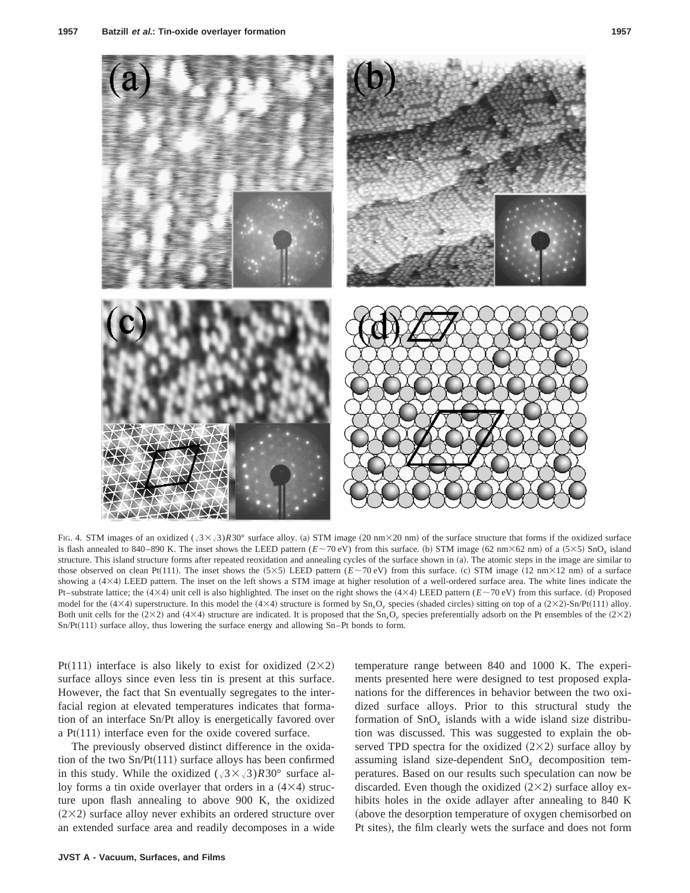

FIG. 4. STM images of an oxidized  $(\sqrt{3} \times \sqrt{3})R30^\circ$  surface alloy. (a) STM image (20 nm×20 nm) of the surface structure that forms if the oxidized surface is flash annealed to 840–890 K. The inset shows the LEED pattern  $(E \sim 70 \text{ eV})$  from this surface. (b) STM image  $(62 \text{ nm} \times 62 \text{ nm})$  of a  $(5 \times 5)$  SnO<sub>x</sub> island structure. This island structure forms after repeated reoxidation and annealing cycles of the surface shown in (a). The atomic steps in the image are similar to those observed on clean Pt(111). The inset shows the  $(5\times5)$  LEED pattern ( $E~70~\text{eV}$ ) from this surface. (c) STM image (12 nm×12 nm) of a surface showing a  $(4\times4)$  LEED pattern. The inset on the left shows a STM image at higher resolution of a well-ordered surface area. The white lines indicate the Pt–substrate lattice; the  $(4\times4)$  unit cell is also highlighted. The inset on the right shows the  $(4\times4)$  LEED pattern  $(E \sim 70 \text{ eV})$  from this surface. (d) Proposed model for the  $(4\times4)$  superstructure. In this model the  $(4\times4)$  structure is formed by Sn<sub>x</sub>O<sub>y</sub> species (shaded circles) sitting on top of a  $(2\times2)$ -Sn/Pt(111) alloy. Both unit cells for the  $(2\times2)$  and  $(4\times4)$  structure are indicated. It is proposed that the Sn<sub>x</sub>O<sub>y</sub> species preferentially adsorb on the Pt ensembles of the  $(2\times2)$  $Sn/Pt(111)$  surface alloy, thus lowering the surface energy and allowing  $Sn-Pt$  bonds to form.

Pt(111) interface is also likely to exist for oxidized  $(2\times2)$ surface alloys since even less tin is present at this surface. However, the fact that Sn eventually segregates to the interfacial region at elevated temperatures indicates that formation of an interface Sn/Pt alloy is energetically favored over a  $Pt(111)$  interface even for the oxide covered surface.

The previously observed distinct difference in the oxidation of the two  $Sn/Pt(111)$  surface alloys has been confirmed in this study. While the oxidized  $(\sqrt{3} \times \sqrt{3})R30^{\circ}$  surface alloy forms a tin oxide overlayer that orders in a  $(4\times4)$  structure upon flash annealing to above 900 K, the oxidized  $(2\times2)$  surface alloy never exhibits an ordered structure over an extended surface area and readily decomposes in a wide temperature range between 840 and 1000 K. The experiments presented here were designed to test proposed explanations for the differences in behavior between the two oxidized surface alloys. Prior to this structural study the formation of SnO*<sup>x</sup>* islands with a wide island size distribution was discussed. This was suggested to explain the observed TPD spectra for the oxidized  $(2\times2)$  surface alloy by assuming island size-dependent SnO*<sup>x</sup>* decomposition temperatures. Based on our results such speculation can now be discarded. Even though the oxidized  $(2\times2)$  surface alloy exhibits holes in the oxide adlayer after annealing to 840 K (above the desorption temperature of oxygen chemisorbed on Pt sites), the film clearly wets the surface and does not form